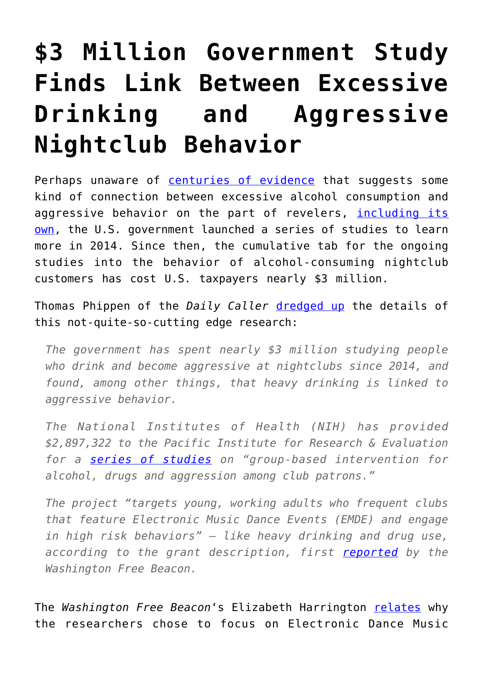## **[\\$3 Million Government Study](https://intellectualtakeout.org/2018/07/3-million-government-study-finds-link-between-excessive-drinking-and-aggressive-nightclub-behavior/) [Finds Link Between Excessive](https://intellectualtakeout.org/2018/07/3-million-government-study-finds-link-between-excessive-drinking-and-aggressive-nightclub-behavior/) [Drinking and Aggressive](https://intellectualtakeout.org/2018/07/3-million-government-study-finds-link-between-excessive-drinking-and-aggressive-nightclub-behavior/) [Nightclub Behavior](https://intellectualtakeout.org/2018/07/3-million-government-study-finds-link-between-excessive-drinking-and-aggressive-nightclub-behavior/)**

Perhaps unaware of [centuries of evidence](https://www.independent.co.uk/life-style/food-and-drink/news/binge-drinking-what-the-ancient-world-can-teach-us-about-dealing-with-drunken-revellers-10205570.html) that suggests some kind of connection between excessive alcohol consumption and aggressive behavior on the part of revelers, *[including its](https://pubs.niaaa.nih.gov/publications/aa38.htm)* [own](https://pubs.niaaa.nih.gov/publications/aa38.htm), the U.S. government launched a series of studies to learn more in 2014. Since then, the cumulative tab for the ongoing studies into the behavior of alcohol-consuming nightclub customers has cost U.S. taxpayers nearly \$3 million.

Thomas Phippen of the *Daily Caller* [dredged up](http://dailycaller.com/2018/07/11/government-funded-drinking-club-study/) the details of this not-quite-so-cutting edge research:

*The government has spent nearly \$3 million studying people who drink and become aggressive at nightclubs since 2014, and found, among other things, that heavy drinking is linked to aggressive behavior.*

*The National Institutes of Health (NIH) has provided \$2,897,322 to the Pacific Institute for Research & Evaluation for a [series of studies](https://projectreporter.nih.gov/project_info_history.cfm?aid=9493319&icde=39791425) on "group-based intervention for alcohol, drugs and aggression among club patrons."*

*The project "targets young, working adults who frequent clubs that feature Electronic Music Dance Events (EMDE) and engage in high risk behaviors" — like heavy drinking and drug use, according to the grant description, first [reported](http://freebeacon.com/issues/feds-spend-2-9-million-studying-edm-clubs/) by the Washington Free Beacon.*

The *Washington Free Beacon*'s Elizabeth Harrington [relates](http://freebeacon.com/issues/feds-spend-2-9-million-studying-edm-clubs/) why the researchers chose to focus on Electronic Dance Music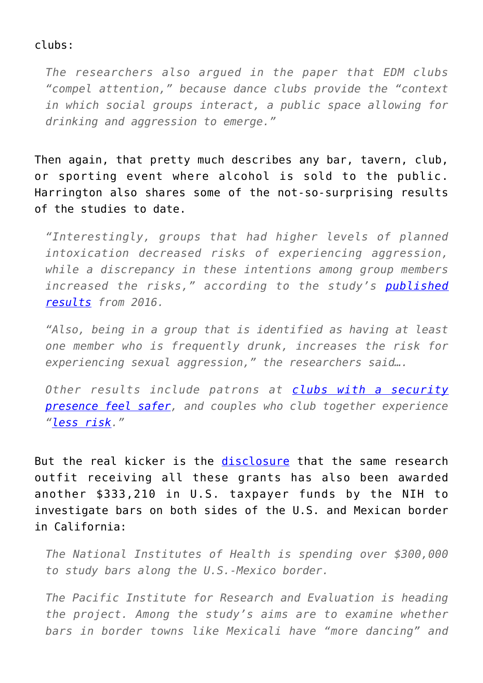## clubs:

*The researchers also argued in the paper that EDM clubs "compel attention," because dance clubs provide the "context in which social groups interact, a public space allowing for drinking and aggression to emerge."*

Then again, that pretty much describes any bar, tavern, club, or sporting event where alcohol is sold to the public. Harrington also shares some of the not-so-surprising results of the studies to date.

*"Interestingly, groups that had higher levels of planned intoxication decreased risks of experiencing aggression, while a discrepancy in these intentions among group members increased the risks," according to the study's [published](https://www.ncbi.nlm.nih.gov/pmc/articles/PMC4295933/) [results](https://www.ncbi.nlm.nih.gov/pmc/articles/PMC4295933/) from 2016.*

*"Also, being in a group that is identified as having at least one member who is frequently drunk, increases the risk for experiencing sexual aggression," the researchers said….*

*Other results include patrons at [clubs with a security](http://www.pire.org/staffmember.aspx?cid=305) [presence feel safer,](http://www.pire.org/staffmember.aspx?cid=305) and couples who club together experience ["less risk](http://www.pire.org/staffmember.aspx?cid=305)."*

But the real kicker is the [disclosure](http://freebeacon.com/issues/feds-spend-333210-studying-bars-along-mexico-border/) that the same research outfit receiving all these grants has also been awarded another \$333,210 in U.S. taxpayer funds by the NIH to investigate bars on both sides of the U.S. and Mexican border in California:

*The National Institutes of Health is spending over \$300,000 to study bars along the U.S.-Mexico border.*

*The Pacific Institute for Research and Evaluation is heading the project. Among the study's aims are to examine whether bars in border towns like Mexicali have "more dancing" and*